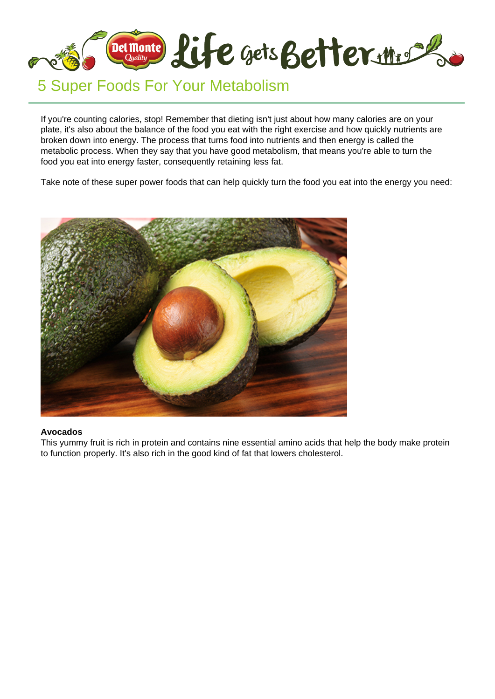

# 5 Super Foods For Your Metabolism

If you're counting calories, stop! Remember that dieting isn't just about how many calories are on your plate, it's also about the balance of the food you eat with the right exercise and how quickly nutrients are broken down into energy. The process that turns food into nutrients and then energy is called the metabolic process. When they say that you have good metabolism, that means you're able to turn the food you eat into energy faster, consequently retaining less fat.

Take note of these super power foods that can help quickly turn the food you eat into the energy you need:



#### **Avocados**

This yummy fruit is rich in protein and contains nine essential amino acids that help the body make protein to function properly. It's also rich in the good kind of fat that lowers cholesterol.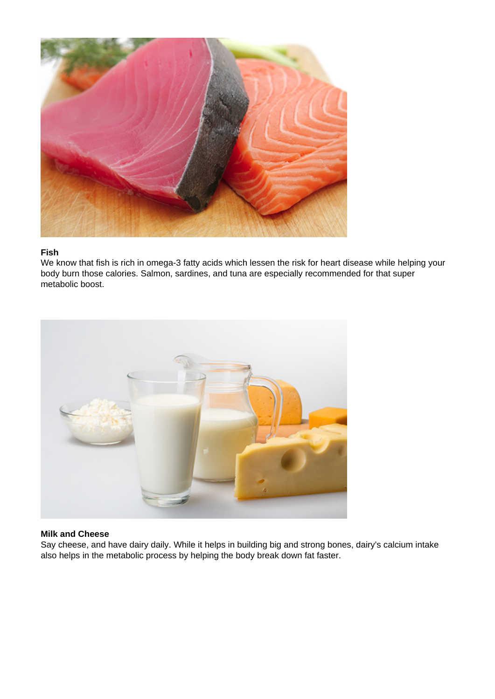

### **Fish**

We know that fish is rich in omega-3 fatty acids which lessen the risk for heart disease while helping your body burn those calories. Salmon, sardines, and tuna are especially recommended for that super metabolic boost.



## **Milk and Cheese**

Say cheese, and have dairy daily. While it helps in building big and strong bones, dairy's calcium intake also helps in the metabolic process by helping the body break down fat faster.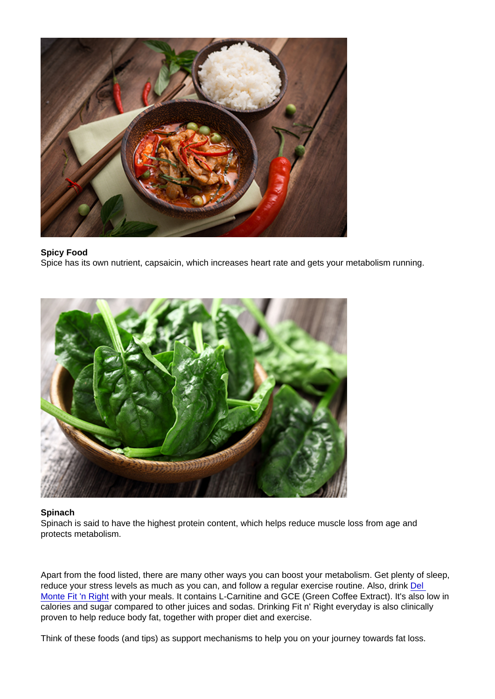Spicy Food Spice has its own nutrient, capsaicin, which increases heart rate and gets your metabolism running.

Spinach

Spinach is said to have the highest protein content, which helps reduce muscle loss from age and protects metabolism.

Apart from the food listed, there are many other ways you can boost your metabolism. Get plenty of sleep, reduce your stress levels as much as you can, and follow a regular exercise routine. Also, drink Del [Monte Fit 'n Right](https://www.lifegetsbetter.ph/our-products/beverages/fit-n-right/28/del-monte-fit-n-right-pineapple-juice-drink) with your meals. It contains L-Carnitine and GCE (Green Coffee Extract). It's also low in calories and sugar compared to other juices and sodas. Drinking Fit n' Right everyday is also clinically proven to help reduce body fat, together with proper diet and exercise.

Think of these foods (and tips) as support mechanisms to help you on your journey towards fat loss.